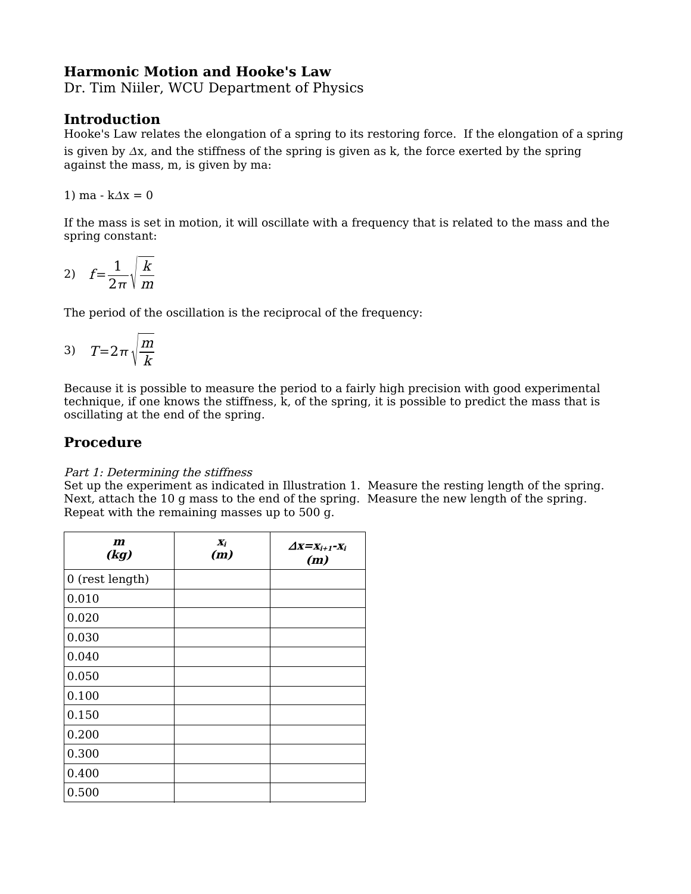## **Harmonic Motion and Hooke's Law**

Dr. Tim Niiler, WCU Department of Physics

### **Introduction**

Hooke's Law relates the elongation of a spring to its restoring force. If the elongation of a spring is given by  $\Delta x$ , and the stiffness of the spring is given as k, the force exerted by the spring against the mass, m, is given by ma:

1) ma  $-k\Delta x = 0$ 

If the mass is set in motion, it will oscillate with a frequency that is related to the mass and the spring constant:

$$
2) \t f = \frac{1}{2\pi} \sqrt{\frac{k}{m}}
$$

The period of the oscillation is the reciprocal of the frequency:

$$
3) \quad T=2\pi\sqrt{\frac{m}{k}}
$$

Because it is possible to measure the period to a fairly high precision with good experimental technique, if one knows the stiffness, k, of the spring, it is possible to predict the mass that is oscillating at the end of the spring.

## **Procedure**

#### Part 1: Determining the stiffness

Set up the experiment as indicated in Illustration 1. Measure the resting length of the spring. Next, attach the 10 g mass to the end of the spring. Measure the new length of the spring. Repeat with the remaining masses up to 500 g.

| $\boldsymbol{m}$<br>(kg) | $\boldsymbol{X_i}$<br>(m) | $\Delta x = x_{i+1} - x_i$<br>(m) |
|--------------------------|---------------------------|-----------------------------------|
| 0 (rest length)          |                           |                                   |
| 0.010                    |                           |                                   |
| 0.020                    |                           |                                   |
| 0.030                    |                           |                                   |
| 0.040                    |                           |                                   |
| 0.050                    |                           |                                   |
| 0.100                    |                           |                                   |
| 0.150                    |                           |                                   |
| 0.200                    |                           |                                   |
| 0.300                    |                           |                                   |
| 0.400                    |                           |                                   |
| 0.500                    |                           |                                   |